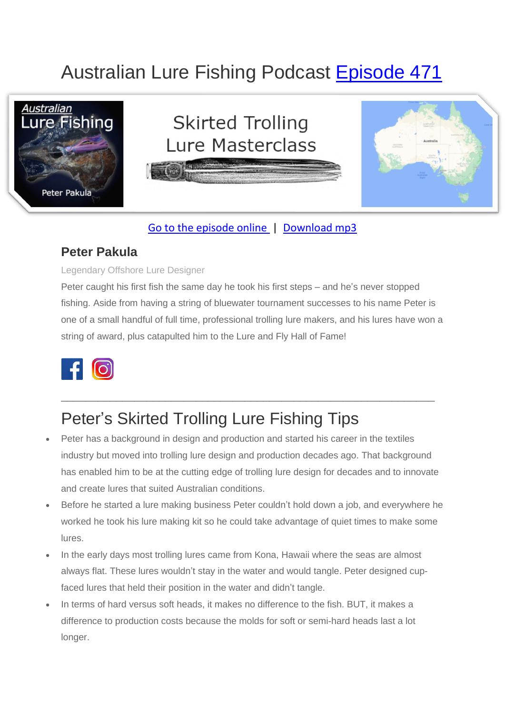# Australian Lure Fishing Podcast [Episode 471](https://doclures.com/skirted-trolling-lures-peter-pakula)



#### [Go to the episode online](https://doclures.com/skirted-trolling-lures-peter-pakula) | [Download mp3](https://traffic.libsyn.com/secure/doclures/471-peter-pakula-skirted-trolling-lures.mp3)

### **Peter Pakula**

#### Legendary Offshore Lure Designer

Peter caught his first fish the same day he took his first steps – and he's never stopped fishing. Aside from having a string of bluewater tournament successes to his name Peter is one of a small handful of full time, professional trolling lure makers, and his lures have won a string of award, plus catapulted him to the Lure and Fly Hall of Fame!



## Peter's Skirted Trolling Lure Fishing Tips

• Peter has a background in design and production and started his career in the textiles industry but moved into trolling lure design and production decades ago. That background has enabled him to be at the cutting edge of trolling lure design for decades and to innovate and create lures that suited Australian conditions.

\_\_\_\_\_\_\_\_\_\_\_\_\_\_\_\_\_\_\_\_\_\_\_\_\_\_\_\_\_\_\_\_\_\_\_\_\_\_\_\_\_\_\_\_\_\_\_\_\_\_\_\_\_\_\_\_\_\_\_\_\_

- Before he started a lure making business Peter couldn't hold down a job, and everywhere he worked he took his lure making kit so he could take advantage of quiet times to make some lures.
- In the early days most trolling lures came from Kona, Hawaii where the seas are almost always flat. These lures wouldn't stay in the water and would tangle. Peter designed cupfaced lures that held their position in the water and didn't tangle.
- In terms of hard versus soft heads, it makes no difference to the fish. BUT, it makes a difference to production costs because the molds for soft or semi-hard heads last a lot longer.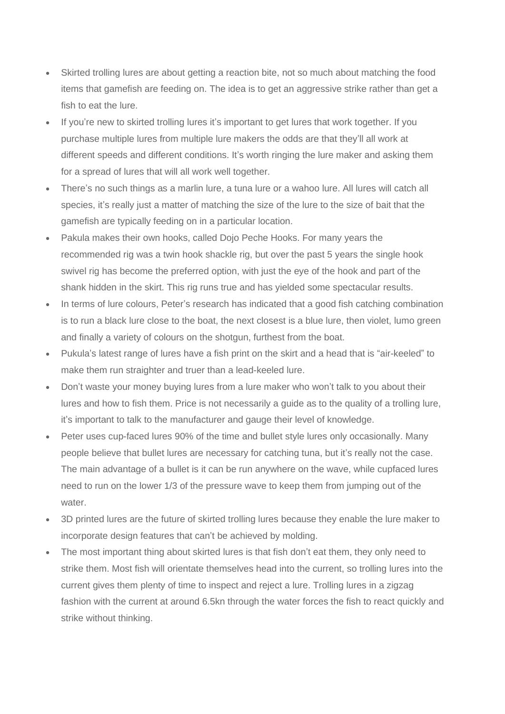- Skirted trolling lures are about getting a reaction bite, not so much about matching the food items that gamefish are feeding on. The idea is to get an aggressive strike rather than get a fish to eat the lure.
- If you're new to skirted trolling lures it's important to get lures that work together. If you purchase multiple lures from multiple lure makers the odds are that they'll all work at different speeds and different conditions. It's worth ringing the lure maker and asking them for a spread of lures that will all work well together.
- There's no such things as a marlin lure, a tuna lure or a wahoo lure. All lures will catch all species, it's really just a matter of matching the size of the lure to the size of bait that the gamefish are typically feeding on in a particular location.
- Pakula makes their own hooks, called Dojo Peche Hooks. For many years the recommended rig was a twin hook shackle rig, but over the past 5 years the single hook swivel rig has become the preferred option, with just the eye of the hook and part of the shank hidden in the skirt. This rig runs true and has yielded some spectacular results.
- In terms of lure colours, Peter's research has indicated that a good fish catching combination is to run a black lure close to the boat, the next closest is a blue lure, then violet, lumo green and finally a variety of colours on the shotgun, furthest from the boat.
- Pukula's latest range of lures have a fish print on the skirt and a head that is "air-keeled" to make them run straighter and truer than a lead-keeled lure.
- Don't waste your money buying lures from a lure maker who won't talk to you about their lures and how to fish them. Price is not necessarily a guide as to the quality of a trolling lure, it's important to talk to the manufacturer and gauge their level of knowledge.
- Peter uses cup-faced lures 90% of the time and bullet style lures only occasionally. Many people believe that bullet lures are necessary for catching tuna, but it's really not the case. The main advantage of a bullet is it can be run anywhere on the wave, while cupfaced lures need to run on the lower 1/3 of the pressure wave to keep them from jumping out of the water.
- 3D printed lures are the future of skirted trolling lures because they enable the lure maker to incorporate design features that can't be achieved by molding.
- The most important thing about skirted lures is that fish don't eat them, they only need to strike them. Most fish will orientate themselves head into the current, so trolling lures into the current gives them plenty of time to inspect and reject a lure. Trolling lures in a zigzag fashion with the current at around 6.5kn through the water forces the fish to react quickly and strike without thinking.